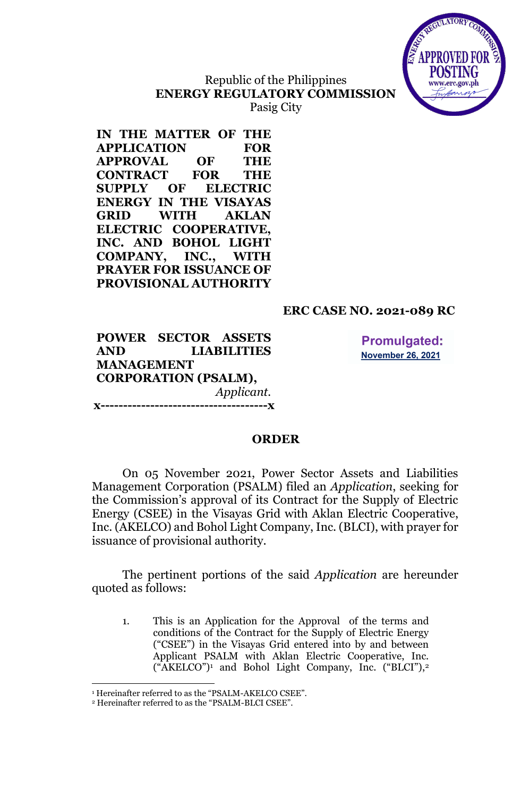

## Republic of the Philippines **ENERGY REGULATORY COMMISSION** Pasig City

**IN THE MATTER OF THE APPLICATION FOR APPROVAL OF THE CONTRACT FOR THE SUPPLY OF ELECTRIC ENERGY IN THE VISAYAS GRID WITH AKLAN ELECTRIC COOPERATIVE, INC. AND BOHOL LIGHT COMPANY, INC., WITH PRAYER FOR ISSUANCE OF PROVISIONAL AUTHORITY**

# **ERC CASE NO. 2021-089 RC**

**POWER SECTOR ASSETS AND LIABILITIES MANAGEMENT CORPORATION (PSALM),** *Applicant.* **x-------------------------------------x**

**Promulgated: November 26, 2021** 

## **ORDER**

On 05 November 2021, Power Sector Assets and Liabilities Management Corporation (PSALM) filed an *Application*, seeking for the Commission's approval of its Contract for the Supply of Electric Energy (CSEE) in the Visayas Grid with Aklan Electric Cooperative, Inc. (AKELCO) and Bohol Light Company, Inc. (BLCI), with prayer for issuance of provisional authority.

The pertinent portions of the said *Application* are hereunder quoted as follows:

1. This is an Application for the Approval of the terms and conditions of the Contract for the Supply of Electric Energy ("CSEE") in the Visayas Grid entered into by and between Applicant PSALM with Aklan Electric Cooperative, Inc. ("AKELCO")<sup>1</sup> and Bohol Light Company, Inc. ("BLCI"), 2

<sup>1</sup> Hereinafter referred to as the "PSALM-AKELCO CSEE".

<sup>2</sup> Hereinafter referred to as the "PSALM-BLCI CSEE".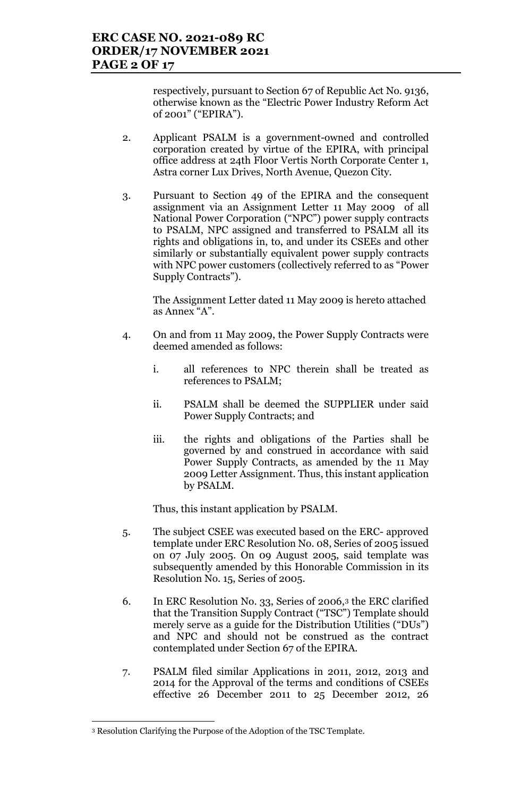respectively, pursuant to Section 67 of Republic Act No. 9136, otherwise known as the "Electric Power Industry Reform Act of 2001" ("EPIRA").

- 2. Applicant PSALM is a government-owned and controlled corporation created by virtue of the EPIRA, with principal office address at 24th Floor Vertis North Corporate Center 1, Astra corner Lux Drives, North Avenue, Quezon City.
- 3. Pursuant to Section 49 of the EPIRA and the consequent assignment via an Assignment Letter 11 May 2009 of all National Power Corporation ("NPC") power supply contracts to PSALM, NPC assigned and transferred to PSALM all its rights and obligations in, to, and under its CSEEs and other similarly or substantially equivalent power supply contracts with NPC power customers (collectively referred to as "Power Supply Contracts").

The Assignment Letter dated 11 May 2009 is hereto attached as Annex "A".

- 4. On and from 11 May 2009, the Power Supply Contracts were deemed amended as follows:
	- i. all references to NPC therein shall be treated as references to PSALM;
	- ii. PSALM shall be deemed the SUPPLIER under said Power Supply Contracts; and
	- iii. the rights and obligations of the Parties shall be governed by and construed in accordance with said Power Supply Contracts, as amended by the 11 May 2009 Letter Assignment. Thus, this instant application by PSALM.

Thus, this instant application by PSALM.

- 5. The subject CSEE was executed based on the ERC- approved template under ERC Resolution No. 08, Series of 2005 issued on 07 July 2005. On 09 August 2005, said template was subsequently amended by this Honorable Commission in its Resolution No. 15, Series of 2005.
- 6. In ERC Resolution No. 33, Series of 2006,<sup>3</sup> the ERC clarified that the Transition Supply Contract ("TSC") Template should merely serve as a guide for the Distribution Utilities ("DUs") and NPC and should not be construed as the contract contemplated under Section 67 of the EPIRA.
- 7. PSALM filed similar Applications in 2011, 2012, 2013 and 2014 for the Approval of the terms and conditions of CSEEs effective 26 December 2011 to 25 December 2012, 26

<sup>&</sup>lt;u>.</u> <sup>3</sup> Resolution Clarifying the Purpose of the Adoption of the TSC Template.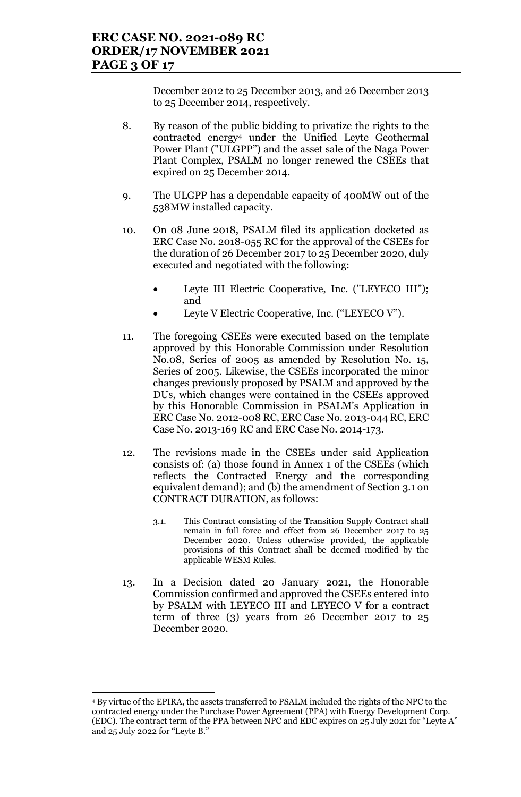December 2012 to 25 December 2013, and 26 December 2013 to 25 December 2014, respectively.

- 8. By reason of the public bidding to privatize the rights to the contracted energy<sup>4</sup> under the Unified Leyte Geothermal Power Plant ("ULGPP") and the asset sale of the Naga Power Plant Complex, PSALM no longer renewed the CSEEs that expired on 25 December 2014.
- 9. The ULGPP has a dependable capacity of 400MW out of the 538MW installed capacity.
- 10. On 08 June 2018, PSALM filed its application docketed as ERC Case No. 2018-055 RC for the approval of the CSEEs for the duration of 26 December 2017 to 25 December 2020, duly executed and negotiated with the following:
	- Leyte III Electric Cooperative, Inc. ("LEYECO III"); and
	- Leyte V Electric Cooperative, Inc. ("LEYECO V").
- 11. The foregoing CSEEs were executed based on the template approved by this Honorable Commission under Resolution No.08, Series of 2005 as amended by Resolution No. 15, Series of 2005. Likewise, the CSEEs incorporated the minor changes previously proposed by PSALM and approved by the DUs, which changes were contained in the CSEEs approved by this Honorable Commission in PSALM's Application in ERC Case No. 2012-008 RC, ERC Case No. 2013-044 RC, ERC Case No. 2013-169 RC and ERC Case No. 2014-173.
- 12. The revisions made in the CSEEs under said Application consists of: (a) those found in Annex 1 of the CSEEs (which reflects the Contracted Energy and the corresponding equivalent demand); and (b) the amendment of Section 3.1 on CONTRACT DURATION, as follows:
	- 3.1. This Contract consisting of the Transition Supply Contract shall remain in full force and effect from 26 December 2017 to 25 December 2020. Unless otherwise provided, the applicable provisions of this Contract shall be deemed modified by the applicable WESM Rules.
- 13. In a Decision dated 20 January 2021, the Honorable Commission confirmed and approved the CSEEs entered into by PSALM with LEYECO III and LEYECO V for a contract term of three (3) years from 26 December 2017 to 25 December 2020.

<u>.</u>

<sup>4</sup> By virtue of the EPIRA, the assets transferred to PSALM included the rights of the NPC to the contracted energy under the Purchase Power Agreement (PPA) with Energy Development Corp. (EDC). The contract term of the PPA between NPC and EDC expires on 25 July 2021 for "Leyte A" and 25 July 2022 for "Leyte B."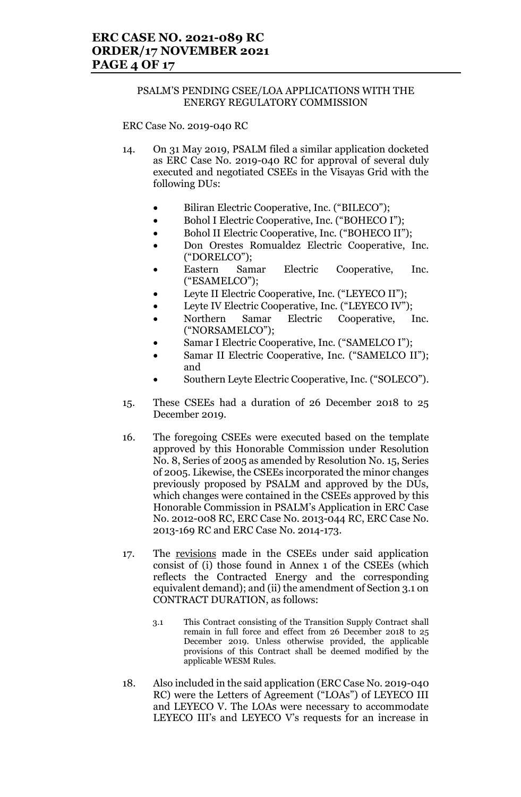### PSALM'S PENDING CSEE/LOA APPLICATIONS WITH THE ENERGY REGULATORY COMMISSION

ERC Case No. 2019-040 RC

- 14. On 31 May 2019, PSALM filed a similar application docketed as ERC Case No. 2019-040 RC for approval of several duly executed and negotiated CSEEs in the Visayas Grid with the following DUs:
	- Biliran Electric Cooperative, Inc. ("BILECO");
	- Bohol I Electric Cooperative, Inc. ("BOHECO I");
	- Bohol II Electric Cooperative, Inc. ("BOHECO II");
	- Don Orestes Romualdez Electric Cooperative, Inc. ("DORELCO");
	- Eastern Samar Electric Cooperative, Inc. ("ESAMELCO");
	- Leyte II Electric Cooperative, Inc. ("LEYECO II");
	- Leyte IV Electric Cooperative, Inc. ("LEYECO IV");
	- Northern Samar Electric Cooperative, Inc. ("NORSAMELCO");
	- Samar I Electric Cooperative, Inc. ("SAMELCO I");
	- Samar II Electric Cooperative, Inc. ("SAMELCO II"); and
	- Southern Leyte Electric Cooperative, Inc. ("SOLECO").
- 15. These CSEEs had a duration of 26 December 2018 to 25 December 2019.
- 16. The foregoing CSEEs were executed based on the template approved by this Honorable Commission under Resolution No. 8, Series of 2005 as amended by Resolution No. 15, Series of 2005. Likewise, the CSEEs incorporated the minor changes previously proposed by PSALM and approved by the DUs, which changes were contained in the CSEEs approved by this Honorable Commission in PSALM's Application in ERC Case No. 2012-008 RC, ERC Case No. 2013-044 RC, ERC Case No. 2013-169 RC and ERC Case No. 2014-173.
- 17. The revisions made in the CSEEs under said application consist of (i) those found in Annex 1 of the CSEEs (which reflects the Contracted Energy and the corresponding equivalent demand); and (ii) the amendment of Section 3.1 on CONTRACT DURATION, as follows:
	- 3.1 This Contract consisting of the Transition Supply Contract shall remain in full force and effect from 26 December 2018 to 25 December 2019. Unless otherwise provided, the applicable provisions of this Contract shall be deemed modified by the applicable WESM Rules.
- 18. Also included in the said application (ERC Case No. 2019-040 RC) were the Letters of Agreement ("LOAs") of LEYECO III and LEYECO V. The LOAs were necessary to accommodate LEYECO III's and LEYECO V's requests for an increase in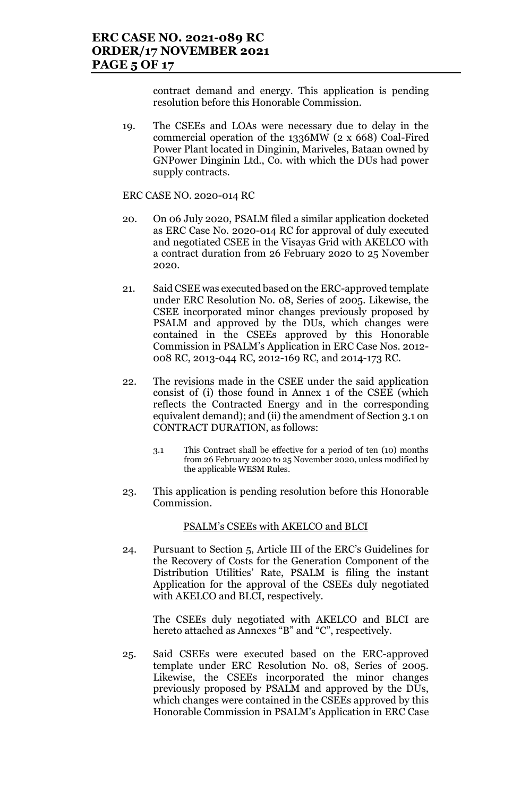contract demand and energy. This application is pending resolution before this Honorable Commission.

19. The CSEEs and LOAs were necessary due to delay in the commercial operation of the 1336MW (2 x 668) Coal-Fired Power Plant located in Dinginin, Mariveles, Bataan owned by GNPower Dinginin Ltd., Co. with which the DUs had power supply contracts.

ERC CASE NO. 2020-014 RC

- 20. On 06 July 2020, PSALM filed a similar application docketed as ERC Case No. 2020-014 RC for approval of duly executed and negotiated CSEE in the Visayas Grid with AKELCO with a contract duration from 26 February 2020 to 25 November 2020.
- 21. Said CSEE was executed based on the ERC-approved template under ERC Resolution No. 08, Series of 2005. Likewise, the CSEE incorporated minor changes previously proposed by PSALM and approved by the DUs, which changes were contained in the CSEEs approved by this Honorable Commission in PSALM's Application in ERC Case Nos. 2012- 008 RC, 2013-044 RC, 2012-169 RC, and 2014-173 RC.
- 22. The revisions made in the CSEE under the said application consist of (i) those found in Annex 1 of the CSEE (which reflects the Contracted Energy and in the corresponding equivalent demand); and (ii) the amendment of Section 3.1 on CONTRACT DURATION, as follows:
	- 3.1 This Contract shall be effective for a period of ten (10) months from 26 February 2020 to 25 November 2020, unless modified by the applicable WESM Rules.
- 23. This application is pending resolution before this Honorable Commission.

PSALM's CSEEs with AKELCO and BLCI

24. Pursuant to Section 5, Article III of the ERC's Guidelines for the Recovery of Costs for the Generation Component of the Distribution Utilities' Rate, PSALM is filing the instant Application for the approval of the CSEEs duly negotiated with AKELCO and BLCI, respectively.

The CSEEs duly negotiated with AKELCO and BLCI are hereto attached as Annexes "B" and "C", respectively.

25. Said CSEEs were executed based on the ERC-approved template under ERC Resolution No. 08, Series of 2005. Likewise, the CSEEs incorporated the minor changes previously proposed by PSALM and approved by the DUs, which changes were contained in the CSEEs approved by this Honorable Commission in PSALM's Application in ERC Case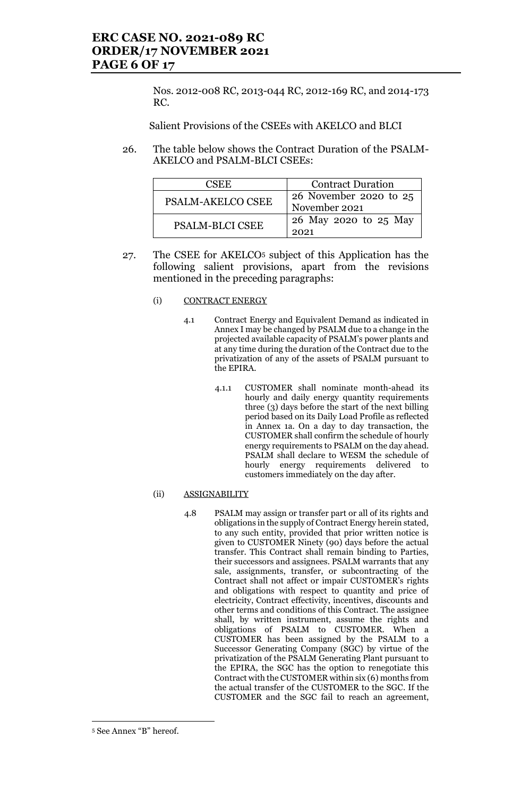Nos. 2012-008 RC, 2013-044 RC, 2012-169 RC, and 2014-173 RC.

Salient Provisions of the CSEEs with AKELCO and BLCI

26. The table below shows the Contract Duration of the PSALM-AKELCO and PSALM-BLCI CSEEs:

| CSEE.                    | <b>Contract Duration</b>                |  |
|--------------------------|-----------------------------------------|--|
| <b>PSALM-AKELCO CSEE</b> | 26 November 2020 to 25<br>November 2021 |  |
| <b>PSALM-BLCI CSEE</b>   | 26 May 2020 to 25 May<br>2021           |  |

27. The CSEE for AKELCO<sup>5</sup> subject of this Application has the following salient provisions, apart from the revisions mentioned in the preceding paragraphs:

### (i) CONTRACT ENERGY

- 4.1 Contract Energy and Equivalent Demand as indicated in Annex I may be changed by PSALM due to a change in the projected available capacity of PSALM's power plants and at any time during the duration of the Contract due to the privatization of any of the assets of PSALM pursuant to the EPIRA.
	- 4.1.1 CUSTOMER shall nominate month-ahead its hourly and daily energy quantity requirements three (3) days before the start of the next billing period based on its Daily Load Profile as reflected in Annex 1a. On a day to day transaction, the CUSTOMER shall confirm the schedule of hourly energy requirements to PSALM on the day ahead. PSALM shall declare to WESM the schedule of hourly energy requirements delivered customers immediately on the day after.

#### (ii) ASSIGNABILITY

4.8 PSALM may assign or transfer part or all of its rights and obligations in the supply of Contract Energy herein stated, to any such entity, provided that prior written notice is given to CUSTOMER Ninety (90) days before the actual transfer. This Contract shall remain binding to Parties, their successors and assignees. PSALM warrants that any sale, assignments, transfer, or subcontracting of the Contract shall not affect or impair CUSTOMER's rights and obligations with respect to quantity and price of electricity, Contract effectivity, incentives, discounts and other terms and conditions of this Contract. The assignee shall, by written instrument, assume the rights and obligations of PSALM to CUSTOMER. When a CUSTOMER has been assigned by the PSALM to a Successor Generating Company (SGC) by virtue of the privatization of the PSALM Generating Plant pursuant to the EPIRA, the SGC has the option to renegotiate this Contract with the CUSTOMER within six (6) months from the actual transfer of the CUSTOMER to the SGC. If the CUSTOMER and the SGC fail to reach an agreement,

<u>.</u>

<sup>5</sup> See Annex "B" hereof.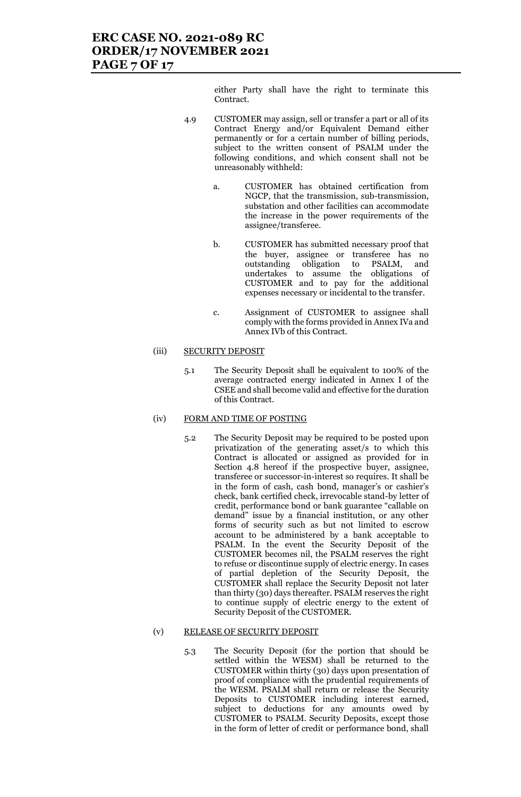either Party shall have the right to terminate this Contract.

- 4.9 CUSTOMER may assign, sell or transfer a part or all of its Contract Energy and/or Equivalent Demand either permanently or for a certain number of billing periods, subject to the written consent of PSALM under the following conditions, and which consent shall not be unreasonably withheld:
	- a. CUSTOMER has obtained certification from NGCP, that the transmission, sub-transmission, substation and other facilities can accommodate the increase in the power requirements of the assignee/transferee.
	- b. CUSTOMER has submitted necessary proof that the buyer, assignee or transferee has no outstanding obligation to PSALM, and undertakes to assume the obligations of CUSTOMER and to pay for the additional expenses necessary or incidental to the transfer.
	- c. Assignment of CUSTOMER to assignee shall comply with the forms provided in Annex IVa and Annex IVb of this Contract.

### (iii) SECURITY DEPOSIT

5.1 The Security Deposit shall be equivalent to 100% of the average contracted energy indicated in Annex I of the CSEE and shall become valid and effective for the duration of this Contract.

### (iv) FORM AND TIME OF POSTING

5.2 The Security Deposit may be required to be posted upon privatization of the generating asset/s to which this Contract is allocated or assigned as provided for in Section 4.8 hereof if the prospective buyer, assignee, transferee or successor-in-interest so requires. It shall be in the form of cash, cash bond, manager's or cashier's check, bank certified check, irrevocable stand-by letter of credit, performance bond or bank guarantee "callable on demand" issue by a financial institution, or any other forms of security such as but not limited to escrow account to be administered by a bank acceptable to PSALM. In the event the Security Deposit of the CUSTOMER becomes nil, the PSALM reserves the right to refuse or discontinue supply of electric energy. In cases of partial depletion of the Security Deposit, the CUSTOMER shall replace the Security Deposit not later than thirty (30) days thereafter. PSALM reserves the right to continue supply of electric energy to the extent of Security Deposit of the CUSTOMER.

#### (v) RELEASE OF SECURITY DEPOSIT

5.3 The Security Deposit (for the portion that should be settled within the WESM) shall be returned to the CUSTOMER within thirty (30) days upon presentation of proof of compliance with the prudential requirements of the WESM. PSALM shall return or release the Security Deposits to CUSTOMER including interest earned, subject to deductions for any amounts owed by CUSTOMER to PSALM. Security Deposits, except those in the form of letter of credit or performance bond, shall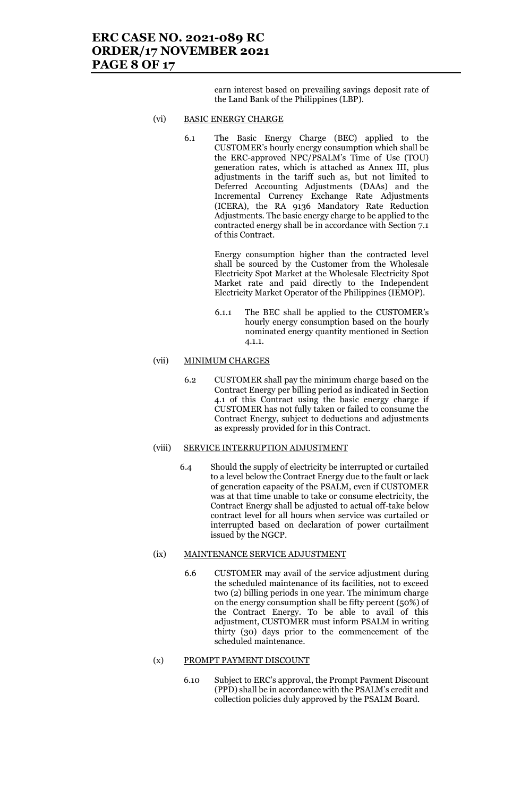earn interest based on prevailing savings deposit rate of the Land Bank of the Philippines (LBP).

#### (vi) BASIC ENERGY CHARGE

6.1 The Basic Energy Charge (BEC) applied to the CUSTOMER's hourly energy consumption which shall be the ERC-approved NPC/PSALM's Time of Use (TOU) generation rates, which is attached as Annex III, plus adjustments in the tariff such as, but not limited to Deferred Accounting Adjustments (DAAs) and the Incremental Currency Exchange Rate Adjustments (ICERA), the RA 9136 Mandatory Rate Reduction Adjustments. The basic energy charge to be applied to the contracted energy shall be in accordance with Section 7.1 of this Contract.

> Energy consumption higher than the contracted level shall be sourced by the Customer from the Wholesale Electricity Spot Market at the Wholesale Electricity Spot Market rate and paid directly to the Independent Electricity Market Operator of the Philippines (IEMOP).

> 6.1.1 The BEC shall be applied to the CUSTOMER's hourly energy consumption based on the hourly nominated energy quantity mentioned in Section 4.1.1.

#### (vii) MINIMUM CHARGES

6.2 CUSTOMER shall pay the minimum charge based on the Contract Energy per billing period as indicated in Section 4.1 of this Contract using the basic energy charge if CUSTOMER has not fully taken or failed to consume the Contract Energy, subject to deductions and adjustments as expressly provided for in this Contract.

#### (viii) SERVICE INTERRUPTION ADJUSTMENT

6.4 Should the supply of electricity be interrupted or curtailed to a level below the Contract Energy due to the fault or lack of generation capacity of the PSALM, even if CUSTOMER was at that time unable to take or consume electricity, the Contract Energy shall be adjusted to actual off-take below contract level for all hours when service was curtailed or interrupted based on declaration of power curtailment issued by the NGCP.

#### (ix) MAINTENANCE SERVICE ADJUSTMENT

6.6 CUSTOMER may avail of the service adjustment during the scheduled maintenance of its facilities, not to exceed two (2) billing periods in one year. The minimum charge on the energy consumption shall be fifty percent (50%) of the Contract Energy. To be able to avail of this adjustment, CUSTOMER must inform PSALM in writing thirty (30) days prior to the commencement of the scheduled maintenance.

#### (x) PROMPT PAYMENT DISCOUNT

6.10 Subject to ERC's approval, the Prompt Payment Discount (PPD) shall be in accordance with the PSALM's credit and collection policies duly approved by the PSALM Board.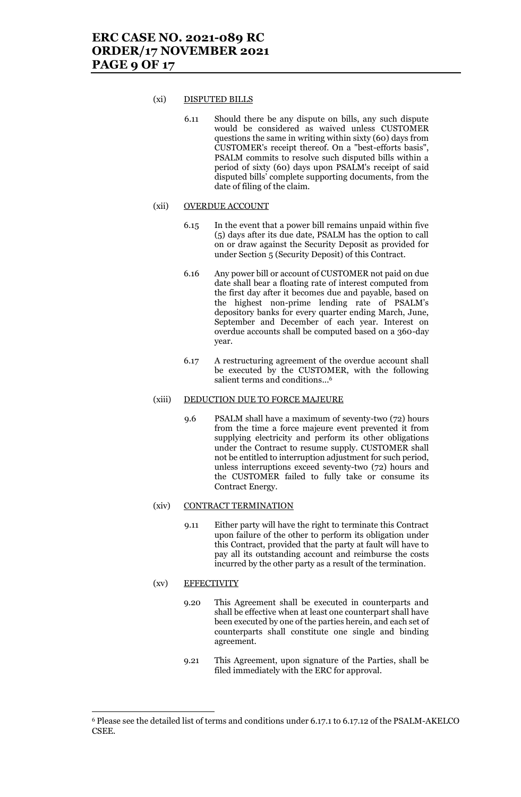#### (xi) DISPUTED BILLS

6.11 Should there be any dispute on bills, any such dispute would be considered as waived unless CUSTOMER questions the same in writing within sixty (60) days from CUSTOMER's receipt thereof. On a "best-efforts basis", PSALM commits to resolve such disputed bills within a period of sixty (60) days upon PSALM's receipt of said disputed bills' complete supporting documents, from the date of filing of the claim.

#### (xii) OVERDUE ACCOUNT

- 6.15 In the event that a power bill remains unpaid within five (5) days after its due date, PSALM has the option to call on or draw against the Security Deposit as provided for under Section 5 (Security Deposit) of this Contract.
- 6.16 Any power bill or account of CUSTOMER not paid on due date shall bear a floating rate of interest computed from the first day after it becomes due and payable, based on the highest non-prime lending rate of PSALM's depository banks for every quarter ending March, June, September and December of each year. Interest on overdue accounts shall be computed based on a 360-day year.
- 6.17 A restructuring agreement of the overdue account shall be executed by the CUSTOMER, with the following salient terms and conditions... 6

#### (xiii) DEDUCTION DUE TO FORCE MAJEURE

9.6 PSALM shall have a maximum of seventy-two (72) hours from the time a force majeure event prevented it from supplying electricity and perform its other obligations under the Contract to resume supply. CUSTOMER shall not be entitled to interruption adjustment for such period, unless interruptions exceed seventy-two (72) hours and the CUSTOMER failed to fully take or consume its Contract Energy.

#### (xiv) CONTRACT TERMINATION

9.11 Either party will have the right to terminate this Contract upon failure of the other to perform its obligation under this Contract, provided that the party at fault will have to pay all its outstanding account and reimburse the costs incurred by the other party as a result of the termination.

#### (xv) EFFECTIVITY

- 9.20 This Agreement shall be executed in counterparts and shall be effective when at least one counterpart shall have been executed by one of the parties herein, and each set of counterparts shall constitute one single and binding agreement.
- 9.21 This Agreement, upon signature of the Parties, shall be filed immediately with the ERC for approval.

<sup>6</sup> Please see the detailed list of terms and conditions under 6.17.1 to 6.17.12 of the PSALM-AKELCO CSEE.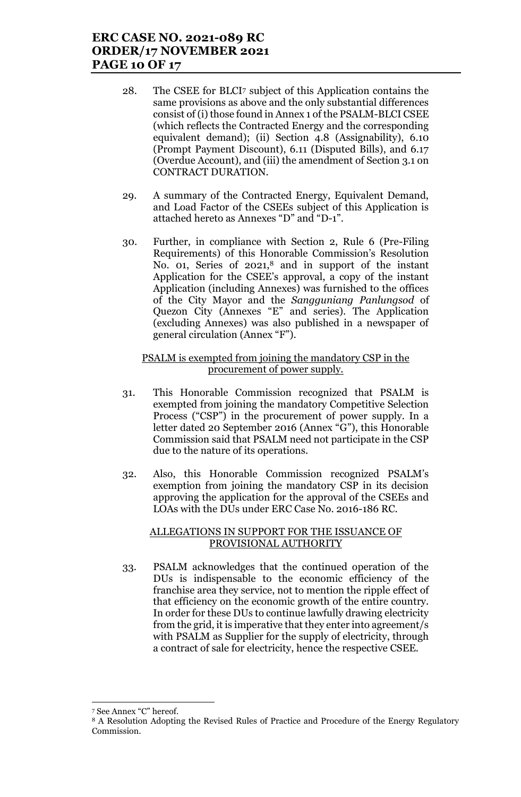- 28. The CSEE for BLCI<sup>7</sup> subject of this Application contains the same provisions as above and the only substantial differences consist of (i) those found in Annex 1 of the PSALM-BLCI CSEE (which reflects the Contracted Energy and the corresponding equivalent demand); (ii) Section 4.8 (Assignability), 6.10 (Prompt Payment Discount), 6.11 (Disputed Bills), and 6.17 (Overdue Account), and (iii) the amendment of Section 3.1 on CONTRACT DURATION.
- 29. A summary of the Contracted Energy, Equivalent Demand, and Load Factor of the CSEEs subject of this Application is attached hereto as Annexes "D" and "D-1".
- 30. Further, in compliance with Section 2, Rule 6 (Pre-Filing Requirements) of this Honorable Commission's Resolution No. 01, Series of 2021,<sup>8</sup> and in support of the instant Application for the CSEE's approval, a copy of the instant Application (including Annexes) was furnished to the offices of the City Mayor and the *Sangguniang Panlungsod* of Quezon City (Annexes "E" and series). The Application (excluding Annexes) was also published in a newspaper of general circulation (Annex "F").

### PSALM is exempted from joining the mandatory CSP in the procurement of power supply.

- 31. This Honorable Commission recognized that PSALM is exempted from joining the mandatory Competitive Selection Process ("CSP") in the procurement of power supply. In a letter dated 20 September 2016 (Annex "G"), this Honorable Commission said that PSALM need not participate in the CSP due to the nature of its operations.
- 32. Also, this Honorable Commission recognized PSALM's exemption from joining the mandatory CSP in its decision approving the application for the approval of the CSEEs and LOAs with the DUs under ERC Case No. 2016-186 RC.

### ALLEGATIONS IN SUPPORT FOR THE ISSUANCE OF PROVISIONAL AUTHORITY

33. PSALM acknowledges that the continued operation of the DUs is indispensable to the economic efficiency of the franchise area they service, not to mention the ripple effect of that efficiency on the economic growth of the entire country. In order for these DUs to continue lawfully drawing electricity from the grid, it is imperative that they enter into agreement/s with PSALM as Supplier for the supply of electricity, through a contract of sale for electricity, hence the respective CSEE.

<sup>7</sup> See Annex "C" hereof.

<sup>8</sup> A Resolution Adopting the Revised Rules of Practice and Procedure of the Energy Regulatory Commission.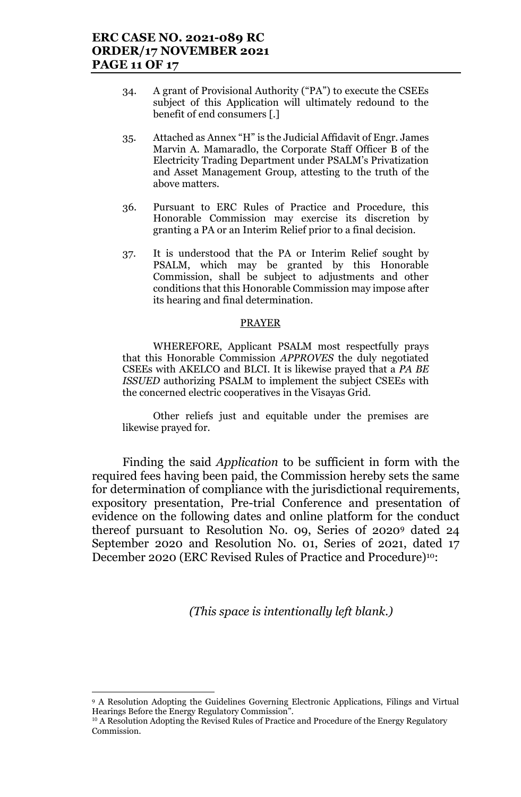- 34. A grant of Provisional Authority ("PA") to execute the CSEEs subject of this Application will ultimately redound to the benefit of end consumers [.]
- 35. Attached as Annex "H" is the Judicial Affidavit of Engr. James Marvin A. Mamaradlo, the Corporate Staff Officer B of the Electricity Trading Department under PSALM's Privatization and Asset Management Group, attesting to the truth of the above matters.
- 36. Pursuant to ERC Rules of Practice and Procedure, this Honorable Commission may exercise its discretion by granting a PA or an Interim Relief prior to a final decision.
- 37. It is understood that the PA or Interim Relief sought by PSALM, which may be granted by this Honorable Commission, shall be subject to adjustments and other conditions that this Honorable Commission may impose after its hearing and final determination.

### PRAYER

WHEREFORE, Applicant PSALM most respectfully prays that this Honorable Commission *APPROVES* the duly negotiated CSEEs with AKELCO and BLCI. It is likewise prayed that a *PA BE ISSUED* authorizing PSALM to implement the subject CSEEs with the concerned electric cooperatives in the Visayas Grid.

Other reliefs just and equitable under the premises are likewise prayed for.

Finding the said *Application* to be sufficient in form with the required fees having been paid, the Commission hereby sets the same for determination of compliance with the jurisdictional requirements, expository presentation, Pre-trial Conference and presentation of evidence on the following dates and online platform for the conduct thereof pursuant to Resolution No. 09, Series 0f 2020<sup>9</sup> dated 24 September 2020 and Resolution No. 01, Series of 2021, dated 17 December 2020 (ERC Revised Rules of Practice and Procedure)<sup>10</sup>:

*(This space is intentionally left blank.)*

<sup>9</sup> A Resolution Adopting the Guidelines Governing Electronic Applications, Filings and Virtual Hearings Before the Energy Regulatory Commission".

 $10$  A Resolution Adopting the Revised Rules of Practice and Procedure of the Energy Regulatory Commission.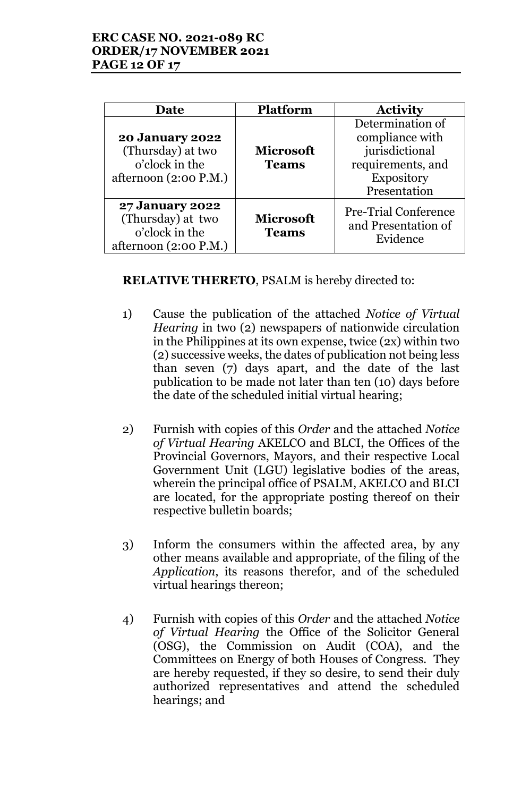| Date                                                                                   | <b>Platform</b>                  | <b>Activity</b>                                                                                          |
|----------------------------------------------------------------------------------------|----------------------------------|----------------------------------------------------------------------------------------------------------|
| <b>20 January 2022</b><br>(Thursday) at two<br>o'clock in the<br>afternoon (2:00 P.M.) | <b>Microsoft</b><br><b>Teams</b> | Determination of<br>compliance with<br>jurisdictional<br>requirements, and<br>Expository<br>Presentation |
| <b>27 January 2022</b><br>(Thursday) at two<br>o'clock in the<br>afternoon (2:00 P.M.) | <b>Microsoft</b><br><b>Teams</b> | <b>Pre-Trial Conference</b><br>and Presentation of<br>Evidence                                           |

**RELATIVE THERETO**, PSALM is hereby directed to:

- 1) Cause the publication of the attached *Notice of Virtual Hearing* in two (2) newspapers of nationwide circulation in the Philippines at its own expense, twice (2x) within two (2) successive weeks, the dates of publication not being less than seven (7) days apart, and the date of the last publication to be made not later than ten (10) days before the date of the scheduled initial virtual hearing;
- 2) Furnish with copies of this *Order* and the attached *Notice of Virtual Hearing* AKELCO and BLCI, the Offices of the Provincial Governors, Mayors, and their respective Local Government Unit (LGU) legislative bodies of the areas, wherein the principal office of PSALM, AKELCO and BLCI are located, for the appropriate posting thereof on their respective bulletin boards;
- 3) Inform the consumers within the affected area, by any other means available and appropriate, of the filing of the *Application*, its reasons therefor, and of the scheduled virtual hearings thereon;
- 4) Furnish with copies of this *Order* and the attached *Notice of Virtual Hearing* the Office of the Solicitor General (OSG), the Commission on Audit (COA), and the Committees on Energy of both Houses of Congress. They are hereby requested, if they so desire, to send their duly authorized representatives and attend the scheduled hearings; and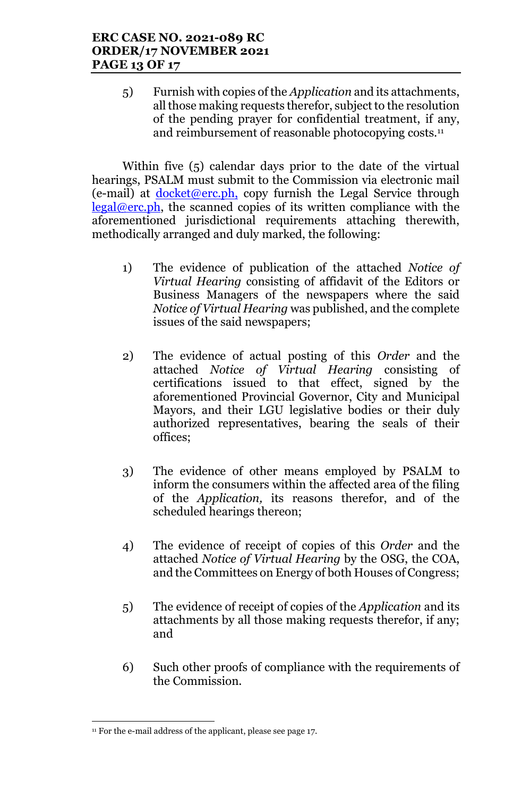5) Furnish with copies of the *Application* and its attachments, all those making requests therefor, subject to the resolution of the pending prayer for confidential treatment, if any, and reimbursement of reasonable photocopying costs.<sup>11</sup>

Within five (5) calendar days prior to the date of the virtual hearings, PSALM must submit to the Commission via electronic mail (e-mail) at **docket@erc.ph**, copy furnish the Legal Service through  $legal@erc.ph$ , the scanned copies of its written compliance with the aforementioned jurisdictional requirements attaching therewith, methodically arranged and duly marked, the following:

- 1) The evidence of publication of the attached *Notice of Virtual Hearing* consisting of affidavit of the Editors or Business Managers of the newspapers where the said *Notice of Virtual Hearing* was published, and the complete issues of the said newspapers;
- 2) The evidence of actual posting of this *Order* and the attached *Notice of Virtual Hearing* consisting of certifications issued to that effect, signed by the aforementioned Provincial Governor, City and Municipal Mayors, and their LGU legislative bodies or their duly authorized representatives, bearing the seals of their offices;
- 3) The evidence of other means employed by PSALM to inform the consumers within the affected area of the filing of the *Application,* its reasons therefor, and of the scheduled hearings thereon;
- 4) The evidence of receipt of copies of this *Order* and the attached *Notice of Virtual Hearing* by the OSG, the COA, and the Committees on Energy of both Houses of Congress;
- 5) The evidence of receipt of copies of the *Application* and its attachments by all those making requests therefor, if any; and
- 6) Such other proofs of compliance with the requirements of the Commission.

<sup>&</sup>lt;u>.</u> <sup>11</sup> For the e-mail address of the applicant, please see page 17.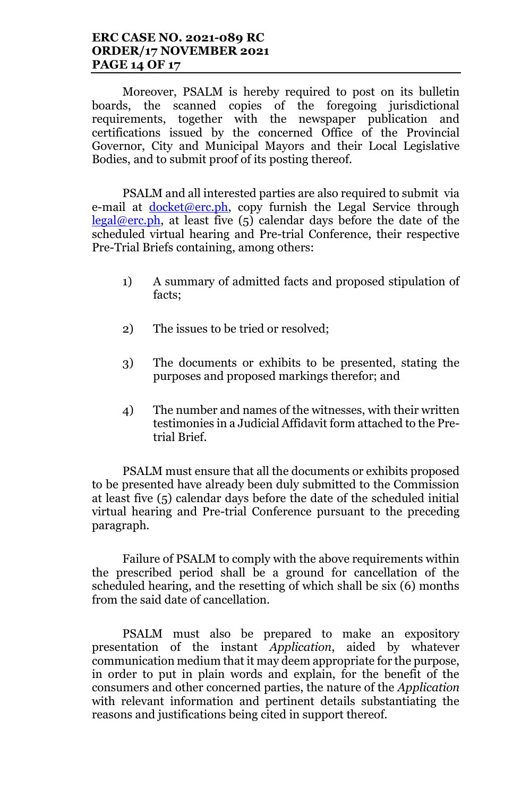# **ERC CASE NO. 2021-089 RC ORDER/17 NOVEMBER 2021 PAGE 14 OF 17**

Moreover, PSALM is hereby required to post on its bulletin boards, the scanned copies of the foregoing jurisdictional requirements, together with the newspaper publication and certifications issued by the concerned Office of the Provincial Governor, City and Municipal Mayors and their Local Legislative Bodies, and to submit proof of its posting thereof.

PSALM and all interested parties are also required to submit via e-mail at **docket@erc.ph**, copy furnish the Legal Service through  $\text{legal@erc.ph.}$  at least five (5) calendar days before the date of the scheduled virtual hearing and Pre-trial Conference, their respective Pre-Trial Briefs containing, among others:

- 1) A summary of admitted facts and proposed stipulation of facts;
- 2) The issues to be tried or resolved;
- 3) The documents or exhibits to be presented, stating the purposes and proposed markings therefor; and
- 4) The number and names of the witnesses, with their written testimonies in a Judicial Affidavit form attached to the Pretrial Brief.

PSALM must ensure that all the documents or exhibits proposed to be presented have already been duly submitted to the Commission at least five (5) calendar days before the date of the scheduled initial virtual hearing and Pre-trial Conference pursuant to the preceding paragraph.

Failure of PSALM to comply with the above requirements within the prescribed period shall be a ground for cancellation of the scheduled hearing, and the resetting of which shall be six (6) months from the said date of cancellation.

PSALM must also be prepared to make an expository presentation of the instant *Application*, aided by whatever communication medium that it may deem appropriate for the purpose, in order to put in plain words and explain, for the benefit of the consumers and other concerned parties, the nature of the *Application* with relevant information and pertinent details substantiating the reasons and justifications being cited in support thereof.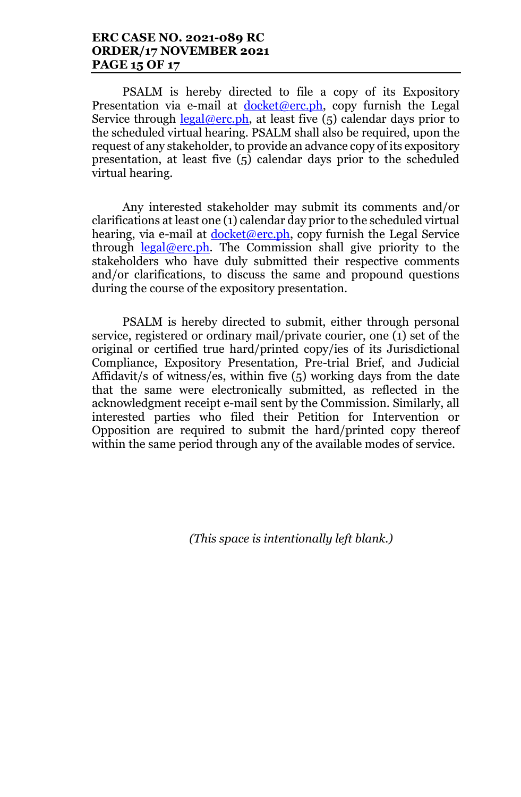PSALM is hereby directed to file a copy of its Expository Presentation via e-mail at  $d$ ocket@erc.ph, copy furnish the Legal Service through  $\frac{\text{legal@erc.ph}}{\text{total@arc}},$  at least five (5) calendar days prior to the scheduled virtual hearing. PSALM shall also be required, upon the request of any stakeholder, to provide an advance copy of its expository presentation, at least five (5) calendar days prior to the scheduled virtual hearing.

Any interested stakeholder may submit its comments and/or clarifications at least one (1) calendar day prior to the scheduled virtual hearing, via e-mail at  $d$ ocket@erc.ph, copy furnish the Legal Service through  $\text{legal@erc.ph.}$  The Commission shall give priority to the stakeholders who have duly submitted their respective comments and/or clarifications, to discuss the same and propound questions during the course of the expository presentation.

PSALM is hereby directed to submit, either through personal service, registered or ordinary mail/private courier, one (1) set of the original or certified true hard/printed copy/ies of its Jurisdictional Compliance, Expository Presentation, Pre-trial Brief, and Judicial Affidavit/s of witness/es, within five (5) working days from the date that the same were electronically submitted, as reflected in the acknowledgment receipt e-mail sent by the Commission. Similarly, all interested parties who filed their Petition for Intervention or Opposition are required to submit the hard/printed copy thereof within the same period through any of the available modes of service.

*(This space is intentionally left blank.)*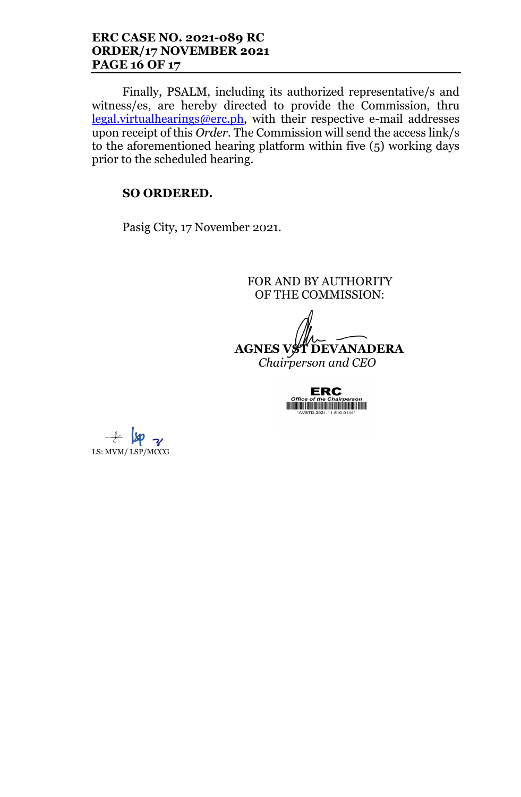# **ERC CASE NO. 2021-089 RC ORDER/17 NOVEMBER 2021 PAGE 16 OF 17**

Finally, PSALM, including its authorized representative/s and witness/es, are hereby directed to provide the Commission, thru legal.virtualhearings@erc.ph, with their respective e-mail addresses upon receipt of this *Order*. The Commission will send the access link/s to the aforementioned hearing platform within five (5) working days prior to the scheduled hearing.

# **SO ORDERED.**

Pasig City, 17 November 2021.

FOR AND BY AUTHORITY OF THE COMMISSION:

**AGNES VST DEVANADERA** *Chairperson and CEO*

**ERC** 

 $+$   $\omega$ LS: MVM/ LSP/MCCG